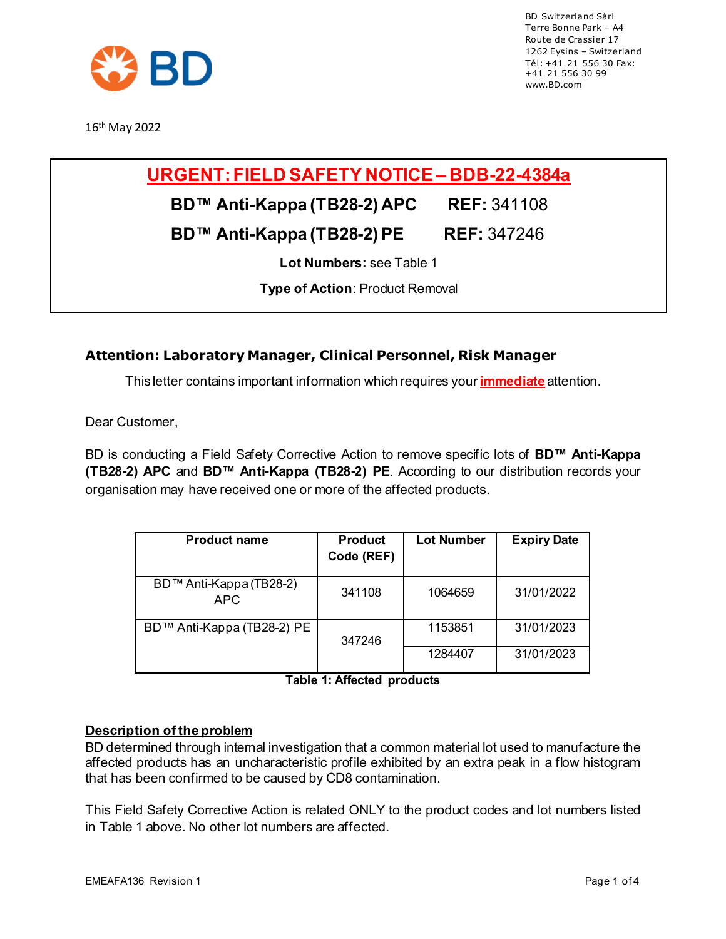

16th May 2022

BD Switzerland Sàrl Terre Bonne Park – A4 Route de Crassier 17 1262 Eysins – Switzerland Tél: +41 21 556 30 Fax: +41 21 556 30 99 [www.BD.com](http://www.bd.com/)

# **URGENT:FIELD SAFETY NOTICE – BDB-22-4384a**

### **BD™ Anti-Kappa (TB28-2) APC REF:** 341108

## **BD™ Anti-Kappa (TB28-2) PE REF: 347246**

**Lot Numbers:** see Table 1

**Type of Action**: Product Removal

### **Attention: Laboratory Manager, Clinical Personnel, Risk Manager**

This letter contains important information which requires your **immediate** attention.

Dear Customer,

BD is conducting a Field Safety Corrective Action to remove specific lots of **BD™ Anti-Kappa (TB28-2) APC** and **BD™ Anti-Kappa (TB28-2) PE**. According to our distribution records your organisation may have received one or more of the affected products.

| <b>Product name</b>             | <b>Product</b><br>Code (REF) | <b>Lot Number</b> | <b>Expiry Date</b> |
|---------------------------------|------------------------------|-------------------|--------------------|
| BD™ Anti-Kappa (TB28-2)<br>APC. | 341108                       | 1064659           | 31/01/2022         |
| BD™ Anti-Kappa (TB28-2) PE      | 347246                       | 1153851           | 31/01/2023         |
|                                 |                              | 1284407           | 31/01/2023         |

**Table 1: Affected products**

#### **Description of the problem**

BD determined through internal investigation that a common material lot used to manufacture the affected products has an uncharacteristic profile exhibited by an extra peak in a flow histogram that has been confirmed to be caused by CD8 contamination.

This Field Safety Corrective Action is related ONLY to the product codes and lot numbers listed in Table 1 above. No other lot numbers are affected.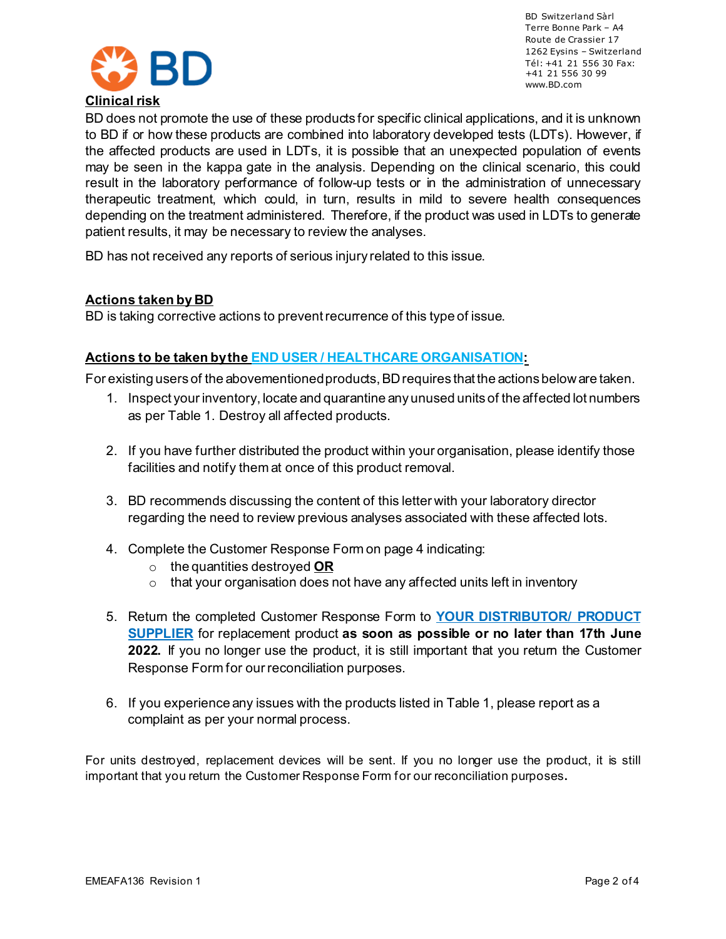

BD Switzerland Sàrl Terre Bonne Park – A4 Route de Crassier 17 1262 Eysins – Switzerland Tél: +41 21 556 30 Fax: +41 21 556 30 99 [www.BD.com](http://www.bd.com/)

BD does not promote the use of these products for specific clinical applications, and it is unknown to BD if or how these products are combined into laboratory developed tests (LDTs). However, if the affected products are used in LDTs, it is possible that an unexpected population of events may be seen in the kappa gate in the analysis. Depending on the clinical scenario, this could result in the laboratory performance of follow-up tests or in the administration of unnecessary therapeutic treatment, which could, in turn, results in mild to severe health consequences depending on the treatment administered. Therefore, if the product was used in LDTs to generate patient results, it may be necessary to review the analyses.

BD has not received any reports of serious injury related to this issue.

#### **Actions taken by BD**

BD is taking corrective actions to preventrecurrence of this type of issue.

#### **Actions to be taken bythe END USER / HEALTHCARE ORGANISATION:**

For existing users of the abovementioned products, BD requires that the actions below are taken.

- 1. Inspect your inventory, locate and quarantine any unused units of the affected lot numbers as per Table 1. Destroy all affected products.
- 2. If you have further distributed the product within your organisation, please identify those facilities and notify them at once of this product removal.
- 3. BD recommends discussing the content of this letter with your laboratory director regarding the need to review previous analyses associated with these affected lots.
- 4. Complete the Customer Response Form on page 4 indicating:
	- o the quantities destroyed **OR**
	- $\circ$  that your organisation does not have any affected units left in inventory
- 5. Return the completed Customer Response Form to **YOUR DISTRIBUTOR/ PRODUCT SUPPLIER** for replacement product **as soon as possible or no later than 17th June 2022.** If you no longer use the product, it is still important that you return the Customer Response Form for our reconciliation purposes.
- 6. If you experience any issues with the products listed in Table 1, please report as a complaint as per your normal process.

For units destroyed, replacement devices will be sent. If you no longer use the product, it is still important that you return the Customer Response Form for our reconciliation purposes**.**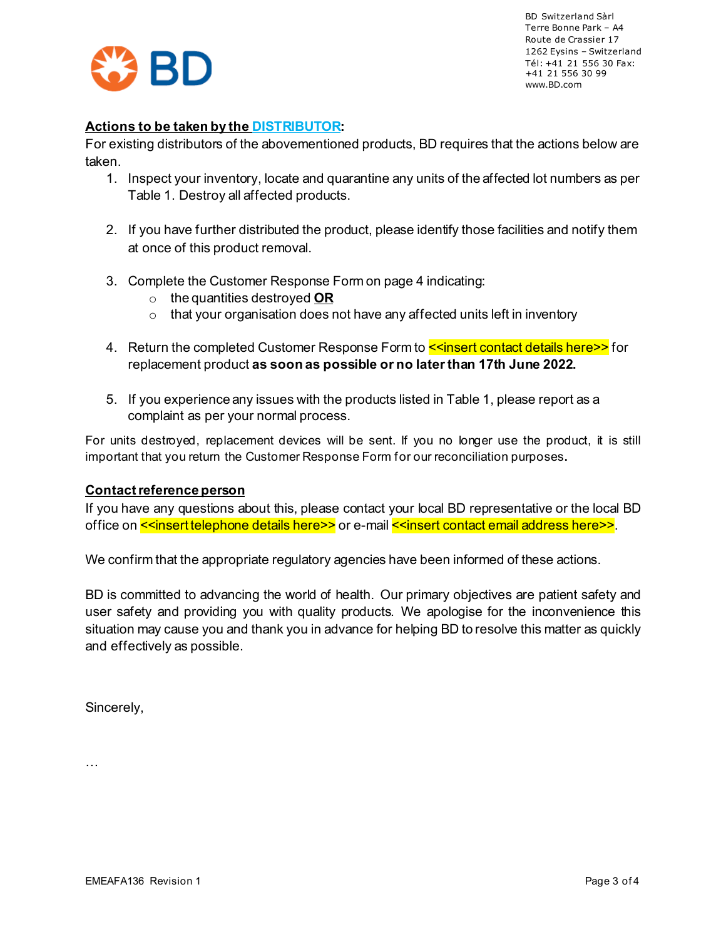

BD Switzerland Sàrl Terre Bonne Park – A4 Route de Crassier 17 1262 Eysins – Switzerland Tél: +41 21 556 30 Fax: +41 21 556 30 99 [www.BD.com](http://www.bd.com/)

#### **Actions to be taken by the DISTRIBUTOR:**

For existing distributors of the abovementioned products, BD requires that the actions below are taken.

- 1. Inspect your inventory, locate and quarantine any units of the affected lot numbers as per Table 1. Destroy all affected products.
- 2. If you have further distributed the product, please identify those facilities and notify them at once of this product removal.
- 3. Complete the Customer Response Form on page 4 indicating:
	- o the quantities destroyed **OR**
	- $\circ$  that your organisation does not have any affected units left in inventory
- 4. Return the completed Customer Response Form to <u><<insert contact details here>></u> for replacement product **as soon as possible or no later than 17th June 2022.**
- 5. If you experience any issues with the products listed in Table 1, please report as a complaint as per your normal process.

For units destroyed, replacement devices will be sent. If you no longer use the product, it is still important that you return the Customer Response Form for our reconciliation purposes**.** 

#### **Contactreference person**

If you have any questions about this, please contact your local BD representative or the local BD office on **<<insert telephone details here>>** or e-mail **<<insert contact email address here>>**.

We confirm that the appropriate regulatory agencies have been informed of these actions.

BD is committed to advancing the world of health. Our primary objectives are patient safety and user safety and providing you with quality products. We apologise for the inconvenience this situation may cause you and thank you in advance for helping BD to resolve this matter as quickly and effectively as possible.

Sincerely,

…